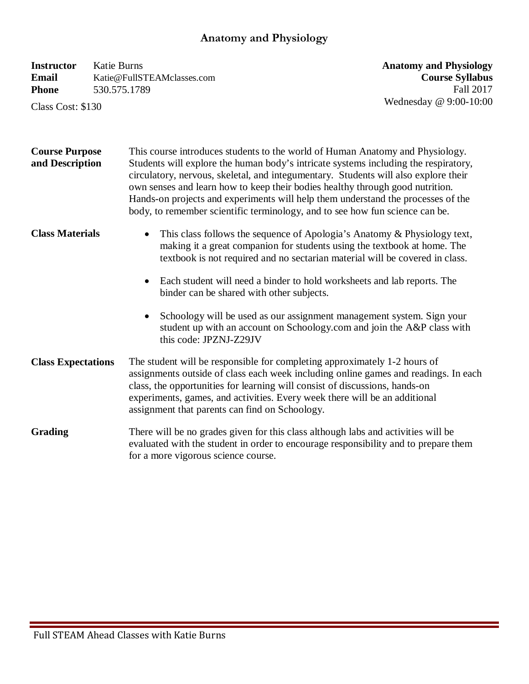## **Anatomy and Physiology**

| <b>Instructor</b> | Katie Burns                |
|-------------------|----------------------------|
| Email             | Katie@FullSTEAMclasses.com |
| <b>Phone</b>      | 530.575.1789               |

Class Cost: \$130

**Anatomy and Physiology Course Syllabus**  Fall 2017 Wednesday @ 9:00-10:00

| <b>Course Purpose</b><br>and Description | This course introduces students to the world of Human Anatomy and Physiology.<br>Students will explore the human body's intricate systems including the respiratory,<br>circulatory, nervous, skeletal, and integumentary. Students will also explore their<br>own senses and learn how to keep their bodies healthy through good nutrition.<br>Hands-on projects and experiments will help them understand the processes of the<br>body, to remember scientific terminology, and to see how fun science can be. |  |
|------------------------------------------|------------------------------------------------------------------------------------------------------------------------------------------------------------------------------------------------------------------------------------------------------------------------------------------------------------------------------------------------------------------------------------------------------------------------------------------------------------------------------------------------------------------|--|
| <b>Class Materials</b>                   | This class follows the sequence of Apologia's Anatomy & Physiology text,<br>making it a great companion for students using the textbook at home. The<br>textbook is not required and no sectarian material will be covered in class.                                                                                                                                                                                                                                                                             |  |
|                                          | Each student will need a binder to hold worksheets and lab reports. The<br>$\bullet$<br>binder can be shared with other subjects.                                                                                                                                                                                                                                                                                                                                                                                |  |
|                                          | Schoology will be used as our assignment management system. Sign your<br>$\bullet$<br>student up with an account on Schoology.com and join the A&P class with<br>this code: JPZNJ-Z29JV                                                                                                                                                                                                                                                                                                                          |  |
| <b>Class Expectations</b>                | The student will be responsible for completing approximately 1-2 hours of<br>assignments outside of class each week including online games and readings. In each<br>class, the opportunities for learning will consist of discussions, hands-on<br>experiments, games, and activities. Every week there will be an additional<br>assignment that parents can find on Schoology.                                                                                                                                  |  |
| <b>Grading</b>                           | There will be no grades given for this class although labs and activities will be<br>evaluated with the student in order to encourage responsibility and to prepare them<br>for a more vigorous science course.                                                                                                                                                                                                                                                                                                  |  |